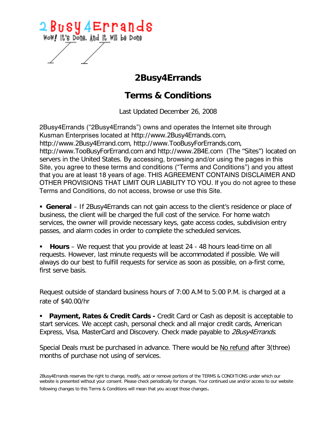

## **2Busy4Errands**

## **Terms & Conditions**

Last Updated December 26, 2008

2Busy4Errands ("2Busy4Errands") owns and operates the Internet site through Kusman Enterprises located at http://www.2Busy4Errands.com, http://www.2Busy4Errand.com, http://www.TooBusyForErrands.com, http://www.TooBusyForErrand.com and http://www.2B4E.com (The "Sites") located on servers in the United States. By accessing, browsing and/or using the pages in this Site, you agree to these terms and conditions ("Terms and Conditions") and you attest that you are at least 18 years of age. THIS AGREEMENT CONTAINS DISCLAIMER AND OTHER PROVISIONS THAT LIMIT OUR LIABILITY TO YOU. If you do not agree to these Terms and Conditions, do not access, browse or use this Site.

 **General** – If 2Busy4Errands can not gain access to the client's residence or place of business, the client will be charged the full cost of the service. For home watch services, the owner will provide necessary keys, gate access codes, subdivision entry passes, and alarm codes in order to complete the scheduled services.

 **Hours** – We request that you provide at least 24 - 48 hours lead-time on all requests. However, last minute requests will be accommodated if possible. We will always do our best to fulfill requests for service as soon as possible, on a-first come, first serve basis.

Request outside of standard business hours of 7:00 A.M to 5:00 P.M. is charged at a rate of \$40.00/hr

**Payment, Rates & Credit Cards -** Credit Card or Cash as deposit is acceptable to start services. We accept cash, personal check and all major credit cards, American Express, Visa, MasterCard and Discovery. Check made payable to 2Busy4Errands.

Special Deals must be purchased in advance. There would be No refund after 3(three) months of purchase not using of services.

2Busy4Errands reserves the right to change, modify, add or remove portions of the TERMS & CONDITIONS under which our website is presented without your consent. Please check periodically for changes. Your continued use and/or access to our website following changes to this Terms & Conditions will mean that you accept those changes.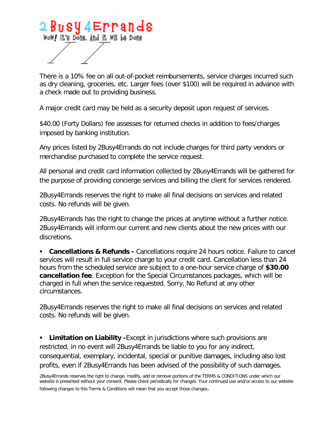

There is a 10% fee on all out-of-pocket reimbursements, service charges incurred such as dry cleaning, groceries, etc. Larger fees (over \$100) will be required in advance with a check made out to providing business.

A major credit card may be held as a security deposit upon request of services.

\$40.00 (Forty Dollars) fee assesses for returned checks in addition to fees/charges imposed by banking institution.

Any prices listed by 2Busy4Errands do not include charges for third party vendors or merchandise purchased to complete the service request.

All personal and credit card information collected by 2Busy4Errands will be gathered for the purpose of providing concierge services and billing the client for services rendered.

2Busy4Errands reserves the right to make all final decisions on services and related costs. No refunds will be given.

2Busy4Errands has the right to change the prices at anytime without a further notice. 2Busy4Errands will inform our current and new clients about the new prices with our discretions.

**Cancellations & Refunds -** Cancellations require 24 hours notice. Failure to cancel services will result in full service charge to your credit card. Cancellation less than 24 hours from the scheduled service are subject to a one-hour service charge of **\$30.00 cancellation fee**. Exception for the Special Circumstances packages, which will be charged in full when the service requested. Sorry, No Refund at any other circumstances.

2Busy4Errands reserves the right to make all final decisions on services and related costs. No refunds will be given.

**Limitation on Liability -**Except in jurisdictions where such provisions are restricted, in no event will 2Busy4Errands be liable to you for any indirect, consequential, exemplary, incidental, special or punitive damages, including also lost profits, even if 2Busy4Errands has been advised of the possibility of such damages.

<sup>2</sup>Busy4Errands reserves the right to change, modify, add or remove portions of the TERMS & CONDITIONS under which our website is presented without your consent. Please check periodically for changes. Your continued use and/or access to our website following changes to this Terms & Conditions will mean that you accept those changes.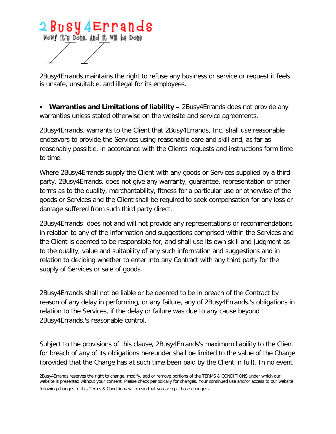

2Busy4Errands maintains the right to refuse any business or service or request it feels is unsafe, unsuitable, and illegal for its employees.

**Warranties and Limitations of liability –** 2Busy4Errands does not provide any warranties unless stated otherwise on the website and service agreements.

2Busy4Errands. warrants to the Client that 2Busy4Errands, Inc. shall use reasonable endeavors to provide the Services using reasonable care and skill and, as far as reasonably possible, in accordance with the Clients requests and instructions form time to time.

Where 2Busy4Errands supply the Client with any goods or Services supplied by a third party, 2Busy4Errands. does not give any warranty, guarantee, representation or other terms as to the quality, merchantability, fitness for a particular use or otherwise of the goods or Services and the Client shall be required to seek compensation for any loss or damage suffered from such third party direct.

2Busy4Errands does not and will not provide any representations or recommendations in relation to any of the information and suggestions comprised within the Services and the Client is deemed to be responsible for, and shall use its own skill and judgment as to the quality, value and suitability of any such information and suggestions and in relation to deciding whether to enter into any Contract with any third party for the supply of Services or sale of goods.

2Busy4Errands shall not be liable or be deemed to be in breach of the Contract by reason of any delay in performing, or any failure, any of 2Busy4Errands.'s obligations in relation to the Services, if the delay or failure was due to any cause beyond 2Busy4Errands.'s reasonable control.

Subject to the provisions of this clause, 2Busy4Errands's maximum liability to the Client for breach of any of its obligations hereunder shall be limited to the value of the Charge (provided that the Charge has at such time been paid by the Client in full). In no event

<sup>2</sup>Busy4Errands reserves the right to change, modify, add or remove portions of the TERMS & CONDITIONS under which our website is presented without your consent. Please check periodically for changes. Your continued use and/or access to our website following changes to this Terms & Conditions will mean that you accept those changes.